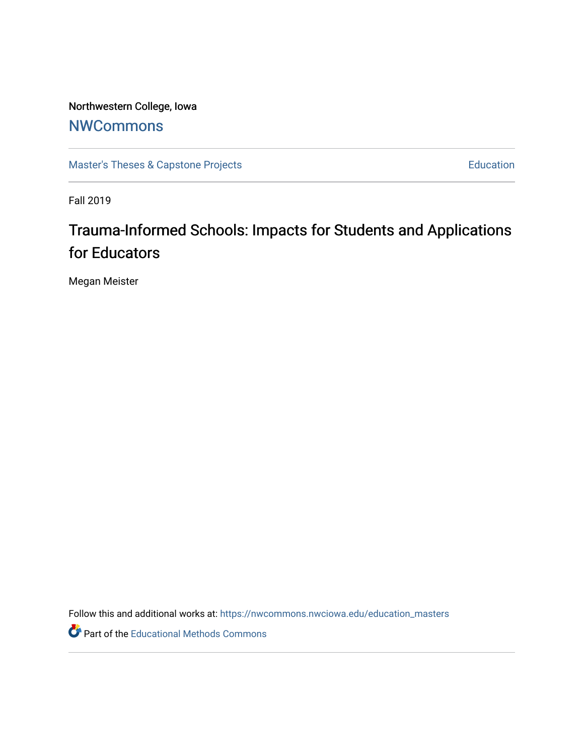Northwestern College, Iowa **[NWCommons](https://nwcommons.nwciowa.edu/)** 

[Master's Theses & Capstone Projects](https://nwcommons.nwciowa.edu/education_masters) **Education** Education

Fall 2019

# Trauma-Informed Schools: Impacts for Students and Applications for Educators

Megan Meister

Follow this and additional works at: [https://nwcommons.nwciowa.edu/education\\_masters](https://nwcommons.nwciowa.edu/education_masters?utm_source=nwcommons.nwciowa.edu%2Feducation_masters%2F178&utm_medium=PDF&utm_campaign=PDFCoverPages)

Part of the [Educational Methods Commons](http://network.bepress.com/hgg/discipline/1227?utm_source=nwcommons.nwciowa.edu%2Feducation_masters%2F178&utm_medium=PDF&utm_campaign=PDFCoverPages)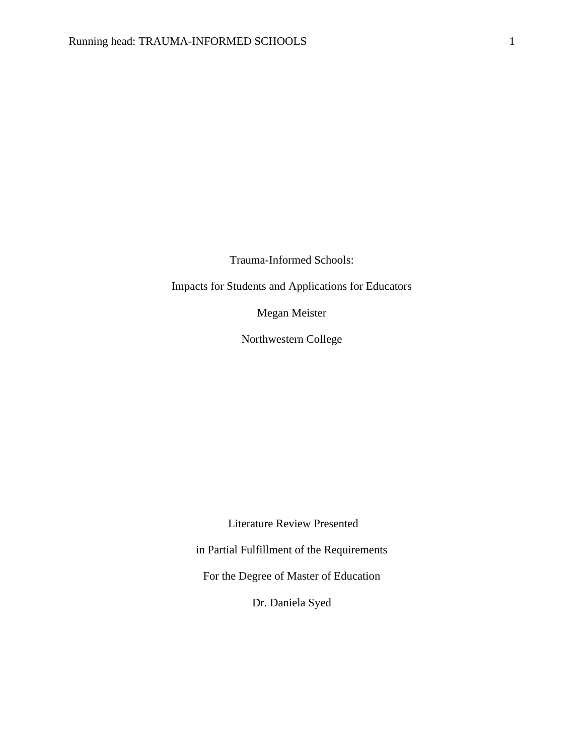Trauma-Informed Schools:

Impacts for Students and Applications for Educators

Megan Meister

Northwestern College

Literature Review Presented

in Partial Fulfillment of the Requirements

For the Degree of Master of Education

Dr. Daniela Syed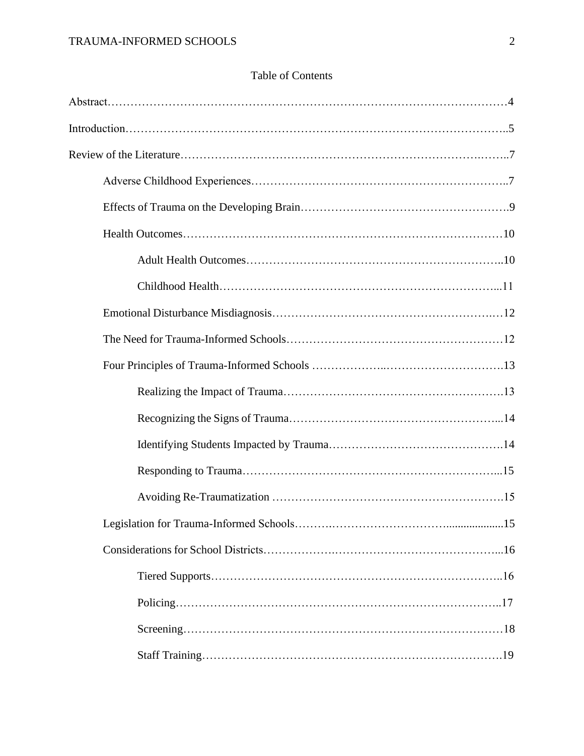|  | <b>Table of Contents</b> |
|--|--------------------------|
|--|--------------------------|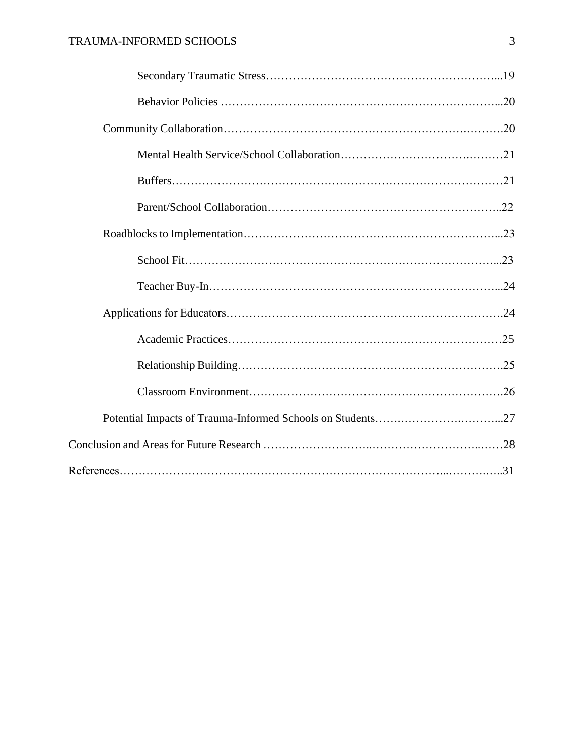## TRAUMA-INFORMED SCHOOLS 3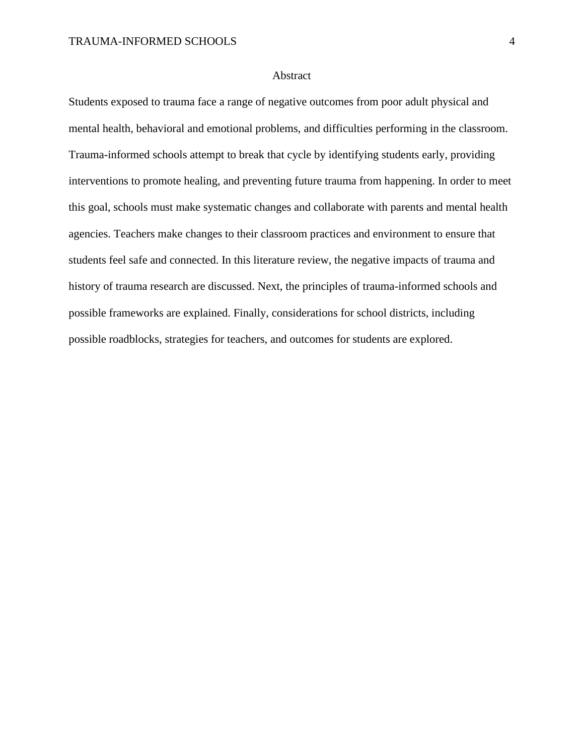#### Abstract

Students exposed to trauma face a range of negative outcomes from poor adult physical and mental health, behavioral and emotional problems, and difficulties performing in the classroom. Trauma-informed schools attempt to break that cycle by identifying students early, providing interventions to promote healing, and preventing future trauma from happening. In order to meet this goal, schools must make systematic changes and collaborate with parents and mental health agencies. Teachers make changes to their classroom practices and environment to ensure that students feel safe and connected. In this literature review, the negative impacts of trauma and history of trauma research are discussed. Next, the principles of trauma-informed schools and possible frameworks are explained. Finally, considerations for school districts, including possible roadblocks, strategies for teachers, and outcomes for students are explored.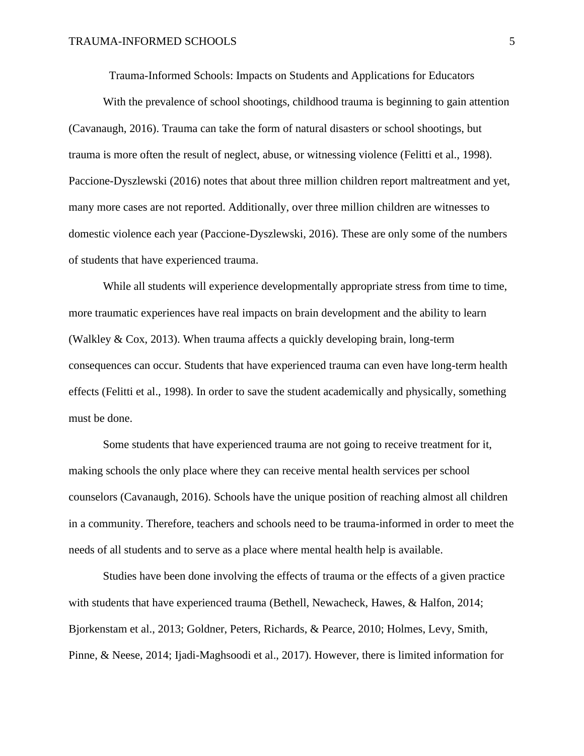Trauma-Informed Schools: Impacts on Students and Applications for Educators

With the prevalence of school shootings, childhood trauma is beginning to gain attention (Cavanaugh, 2016). Trauma can take the form of natural disasters or school shootings, but trauma is more often the result of neglect, abuse, or witnessing violence (Felitti et al., 1998). Paccione-Dyszlewski (2016) notes that about three million children report maltreatment and yet, many more cases are not reported. Additionally, over three million children are witnesses to domestic violence each year (Paccione-Dyszlewski, 2016). These are only some of the numbers of students that have experienced trauma.

While all students will experience developmentally appropriate stress from time to time, more traumatic experiences have real impacts on brain development and the ability to learn (Walkley & Cox, 2013). When trauma affects a quickly developing brain, long-term consequences can occur. Students that have experienced trauma can even have long-term health effects (Felitti et al., 1998). In order to save the student academically and physically, something must be done.

Some students that have experienced trauma are not going to receive treatment for it, making schools the only place where they can receive mental health services per school counselors (Cavanaugh, 2016). Schools have the unique position of reaching almost all children in a community. Therefore, teachers and schools need to be trauma-informed in order to meet the needs of all students and to serve as a place where mental health help is available.

Studies have been done involving the effects of trauma or the effects of a given practice with students that have experienced trauma (Bethell, Newacheck, Hawes, & Halfon, 2014; Bjorkenstam et al., 2013; Goldner, Peters, Richards, & Pearce, 2010; Holmes, Levy, Smith, Pinne, & Neese, 2014; Ijadi-Maghsoodi et al., 2017). However, there is limited information for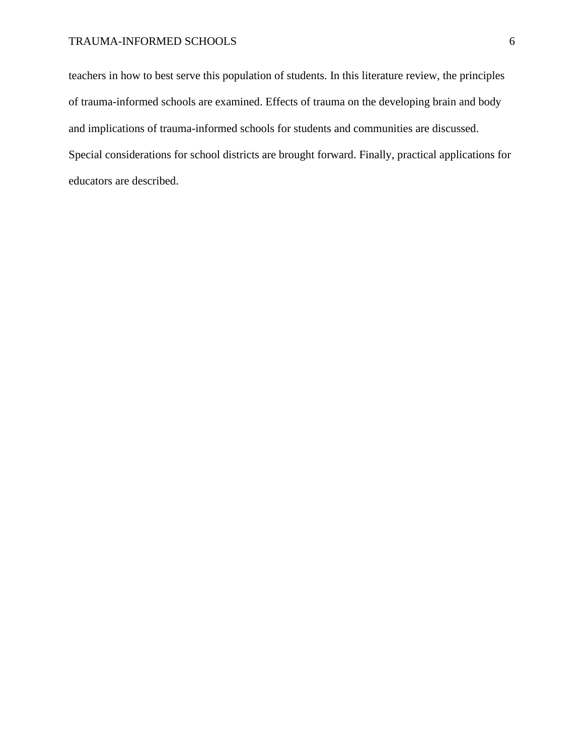### TRAUMA-INFORMED SCHOOLS 6

teachers in how to best serve this population of students. In this literature review, the principles of trauma-informed schools are examined. Effects of trauma on the developing brain and body and implications of trauma-informed schools for students and communities are discussed. Special considerations for school districts are brought forward. Finally, practical applications for educators are described.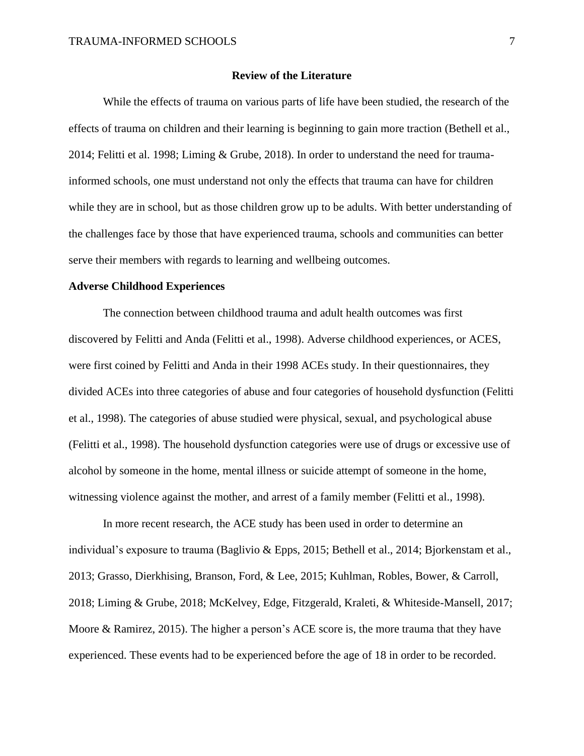#### **Review of the Literature**

While the effects of trauma on various parts of life have been studied, the research of the effects of trauma on children and their learning is beginning to gain more traction (Bethell et al., 2014; Felitti et al. 1998; Liming & Grube, 2018). In order to understand the need for traumainformed schools, one must understand not only the effects that trauma can have for children while they are in school, but as those children grow up to be adults. With better understanding of the challenges face by those that have experienced trauma, schools and communities can better serve their members with regards to learning and wellbeing outcomes.

#### **Adverse Childhood Experiences**

The connection between childhood trauma and adult health outcomes was first discovered by Felitti and Anda (Felitti et al., 1998). Adverse childhood experiences, or ACES, were first coined by Felitti and Anda in their 1998 ACEs study. In their questionnaires, they divided ACEs into three categories of abuse and four categories of household dysfunction (Felitti et al., 1998). The categories of abuse studied were physical, sexual, and psychological abuse (Felitti et al., 1998). The household dysfunction categories were use of drugs or excessive use of alcohol by someone in the home, mental illness or suicide attempt of someone in the home, witnessing violence against the mother, and arrest of a family member (Felitti et al., 1998).

In more recent research, the ACE study has been used in order to determine an individual's exposure to trauma (Baglivio & Epps, 2015; Bethell et al., 2014; Bjorkenstam et al., 2013; Grasso, Dierkhising, Branson, Ford, & Lee, 2015; Kuhlman, Robles, Bower, & Carroll, 2018; Liming & Grube, 2018; McKelvey, Edge, Fitzgerald, Kraleti, & Whiteside-Mansell, 2017; Moore & Ramirez, 2015). The higher a person's ACE score is, the more trauma that they have experienced. These events had to be experienced before the age of 18 in order to be recorded.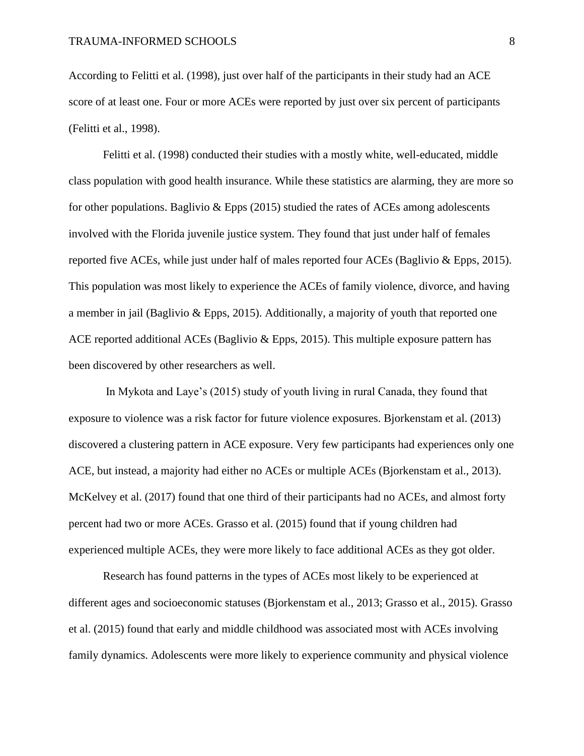According to Felitti et al. (1998), just over half of the participants in their study had an ACE score of at least one. Four or more ACEs were reported by just over six percent of participants (Felitti et al., 1998).

Felitti et al. (1998) conducted their studies with a mostly white, well-educated, middle class population with good health insurance. While these statistics are alarming, they are more so for other populations. Baglivio & Epps (2015) studied the rates of ACEs among adolescents involved with the Florida juvenile justice system. They found that just under half of females reported five ACEs, while just under half of males reported four ACEs (Baglivio & Epps, 2015). This population was most likely to experience the ACEs of family violence, divorce, and having a member in jail (Baglivio & Epps, 2015). Additionally, a majority of youth that reported one ACE reported additional ACEs (Baglivio & Epps, 2015). This multiple exposure pattern has been discovered by other researchers as well.

In Mykota and Laye's (2015) study of youth living in rural Canada, they found that exposure to violence was a risk factor for future violence exposures. Bjorkenstam et al. (2013) discovered a clustering pattern in ACE exposure. Very few participants had experiences only one ACE, but instead, a majority had either no ACEs or multiple ACEs (Bjorkenstam et al., 2013). McKelvey et al. (2017) found that one third of their participants had no ACEs, and almost forty percent had two or more ACEs. Grasso et al. (2015) found that if young children had experienced multiple ACEs, they were more likely to face additional ACEs as they got older.

Research has found patterns in the types of ACEs most likely to be experienced at different ages and socioeconomic statuses (Bjorkenstam et al., 2013; Grasso et al., 2015). Grasso et al. (2015) found that early and middle childhood was associated most with ACEs involving family dynamics. Adolescents were more likely to experience community and physical violence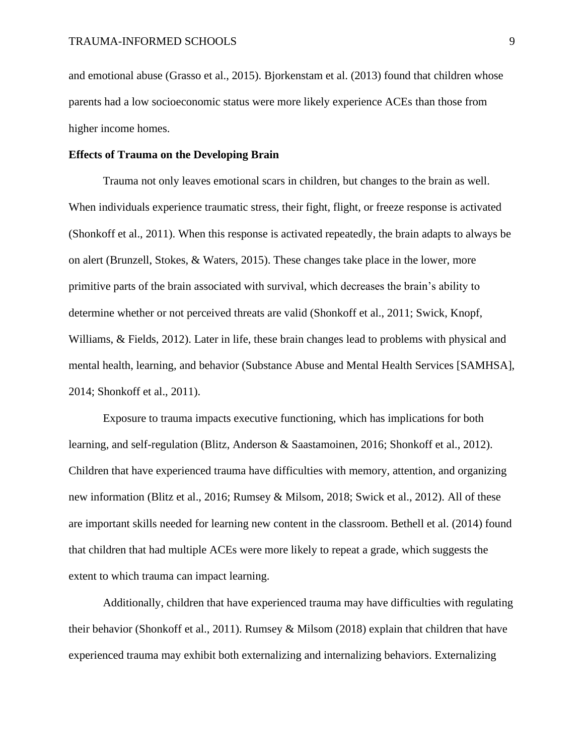and emotional abuse (Grasso et al., 2015). Bjorkenstam et al. (2013) found that children whose parents had a low socioeconomic status were more likely experience ACEs than those from higher income homes.

#### **Effects of Trauma on the Developing Brain**

Trauma not only leaves emotional scars in children, but changes to the brain as well. When individuals experience traumatic stress, their fight, flight, or freeze response is activated (Shonkoff et al., 2011). When this response is activated repeatedly, the brain adapts to always be on alert (Brunzell, Stokes, & Waters, 2015). These changes take place in the lower, more primitive parts of the brain associated with survival, which decreases the brain's ability to determine whether or not perceived threats are valid (Shonkoff et al., 2011; Swick, Knopf, Williams, & Fields, 2012). Later in life, these brain changes lead to problems with physical and mental health, learning, and behavior (Substance Abuse and Mental Health Services [SAMHSA], 2014; Shonkoff et al., 2011).

Exposure to trauma impacts executive functioning, which has implications for both learning, and self-regulation (Blitz, Anderson & Saastamoinen, 2016; Shonkoff et al., 2012). Children that have experienced trauma have difficulties with memory, attention, and organizing new information (Blitz et al., 2016; Rumsey & Milsom, 2018; Swick et al., 2012). All of these are important skills needed for learning new content in the classroom. Bethell et al. (2014) found that children that had multiple ACEs were more likely to repeat a grade, which suggests the extent to which trauma can impact learning.

Additionally, children that have experienced trauma may have difficulties with regulating their behavior (Shonkoff et al., 2011). Rumsey & Milsom (2018) explain that children that have experienced trauma may exhibit both externalizing and internalizing behaviors. Externalizing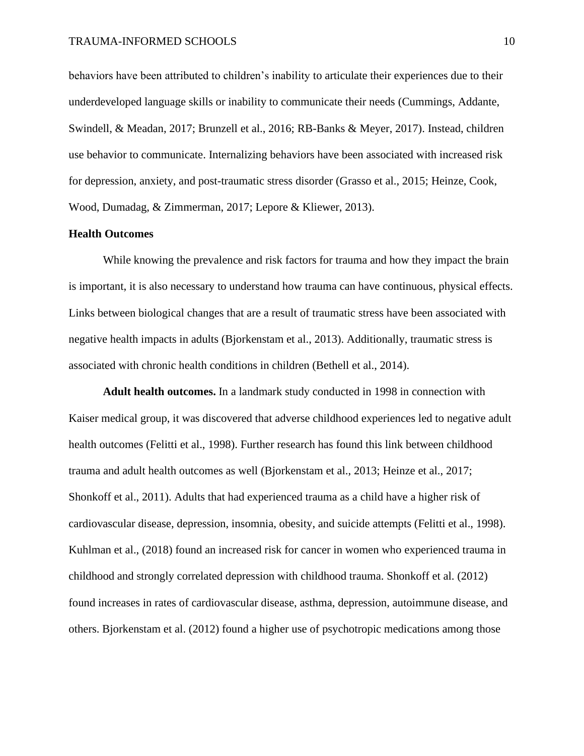behaviors have been attributed to children's inability to articulate their experiences due to their underdeveloped language skills or inability to communicate their needs (Cummings, Addante, Swindell, & Meadan, 2017; Brunzell et al., 2016; RB-Banks & Meyer, 2017). Instead, children use behavior to communicate. Internalizing behaviors have been associated with increased risk for depression, anxiety, and post-traumatic stress disorder (Grasso et al., 2015; Heinze, Cook, Wood, Dumadag, & Zimmerman, 2017; Lepore & Kliewer, 2013).

#### **Health Outcomes**

While knowing the prevalence and risk factors for trauma and how they impact the brain is important, it is also necessary to understand how trauma can have continuous, physical effects. Links between biological changes that are a result of traumatic stress have been associated with negative health impacts in adults (Bjorkenstam et al., 2013). Additionally, traumatic stress is associated with chronic health conditions in children (Bethell et al., 2014).

**Adult health outcomes.** In a landmark study conducted in 1998 in connection with Kaiser medical group, it was discovered that adverse childhood experiences led to negative adult health outcomes (Felitti et al., 1998). Further research has found this link between childhood trauma and adult health outcomes as well (Bjorkenstam et al., 2013; Heinze et al., 2017; Shonkoff et al., 2011). Adults that had experienced trauma as a child have a higher risk of cardiovascular disease, depression, insomnia, obesity, and suicide attempts (Felitti et al., 1998). Kuhlman et al., (2018) found an increased risk for cancer in women who experienced trauma in childhood and strongly correlated depression with childhood trauma. Shonkoff et al. (2012) found increases in rates of cardiovascular disease, asthma, depression, autoimmune disease, and others. Bjorkenstam et al. (2012) found a higher use of psychotropic medications among those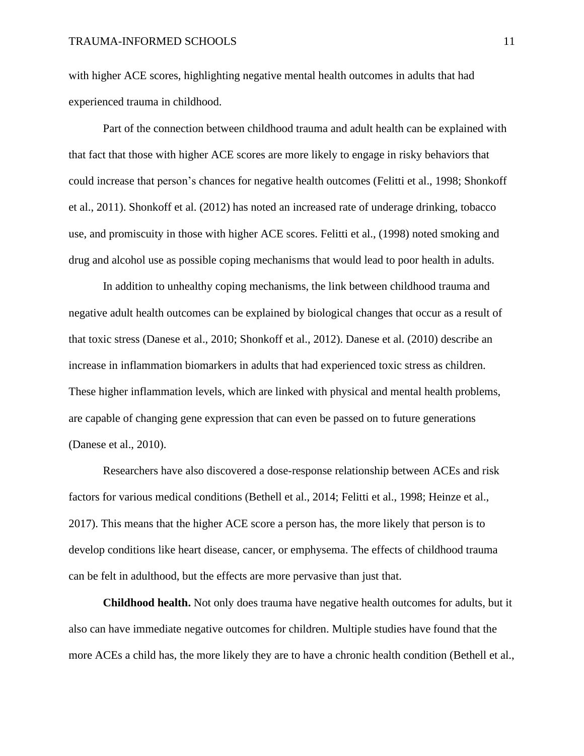with higher ACE scores, highlighting negative mental health outcomes in adults that had experienced trauma in childhood.

Part of the connection between childhood trauma and adult health can be explained with that fact that those with higher ACE scores are more likely to engage in risky behaviors that could increase that person's chances for negative health outcomes (Felitti et al., 1998; Shonkoff et al., 2011). Shonkoff et al. (2012) has noted an increased rate of underage drinking, tobacco use, and promiscuity in those with higher ACE scores. Felitti et al., (1998) noted smoking and drug and alcohol use as possible coping mechanisms that would lead to poor health in adults.

In addition to unhealthy coping mechanisms, the link between childhood trauma and negative adult health outcomes can be explained by biological changes that occur as a result of that toxic stress (Danese et al., 2010; Shonkoff et al., 2012). Danese et al. (2010) describe an increase in inflammation biomarkers in adults that had experienced toxic stress as children. These higher inflammation levels, which are linked with physical and mental health problems, are capable of changing gene expression that can even be passed on to future generations (Danese et al., 2010).

Researchers have also discovered a dose-response relationship between ACEs and risk factors for various medical conditions (Bethell et al., 2014; Felitti et al., 1998; Heinze et al., 2017). This means that the higher ACE score a person has, the more likely that person is to develop conditions like heart disease, cancer, or emphysema. The effects of childhood trauma can be felt in adulthood, but the effects are more pervasive than just that.

**Childhood health.** Not only does trauma have negative health outcomes for adults, but it also can have immediate negative outcomes for children. Multiple studies have found that the more ACEs a child has, the more likely they are to have a chronic health condition (Bethell et al.,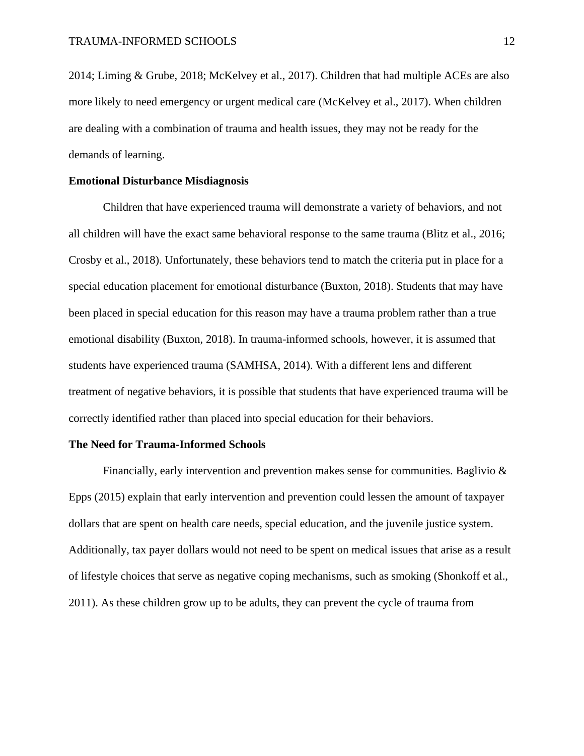2014; Liming & Grube, 2018; McKelvey et al., 2017). Children that had multiple ACEs are also more likely to need emergency or urgent medical care (McKelvey et al., 2017). When children are dealing with a combination of trauma and health issues, they may not be ready for the demands of learning.

#### **Emotional Disturbance Misdiagnosis**

Children that have experienced trauma will demonstrate a variety of behaviors, and not all children will have the exact same behavioral response to the same trauma (Blitz et al., 2016; Crosby et al., 2018). Unfortunately, these behaviors tend to match the criteria put in place for a special education placement for emotional disturbance (Buxton, 2018). Students that may have been placed in special education for this reason may have a trauma problem rather than a true emotional disability (Buxton, 2018). In trauma-informed schools, however, it is assumed that students have experienced trauma (SAMHSA, 2014). With a different lens and different treatment of negative behaviors, it is possible that students that have experienced trauma will be correctly identified rather than placed into special education for their behaviors.

#### **The Need for Trauma-Informed Schools**

Financially, early intervention and prevention makes sense for communities. Baglivio & Epps (2015) explain that early intervention and prevention could lessen the amount of taxpayer dollars that are spent on health care needs, special education, and the juvenile justice system. Additionally, tax payer dollars would not need to be spent on medical issues that arise as a result of lifestyle choices that serve as negative coping mechanisms, such as smoking (Shonkoff et al., 2011). As these children grow up to be adults, they can prevent the cycle of trauma from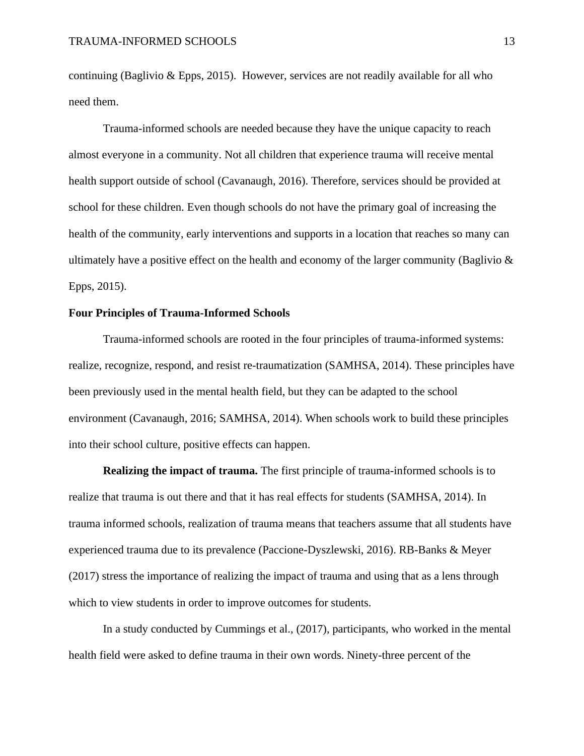continuing (Baglivio & Epps, 2015). However, services are not readily available for all who need them.

Trauma-informed schools are needed because they have the unique capacity to reach almost everyone in a community. Not all children that experience trauma will receive mental health support outside of school (Cavanaugh, 2016). Therefore, services should be provided at school for these children. Even though schools do not have the primary goal of increasing the health of the community, early interventions and supports in a location that reaches so many can ultimately have a positive effect on the health and economy of the larger community (Baglivio  $\&$ Epps, 2015).

#### **Four Principles of Trauma-Informed Schools**

Trauma-informed schools are rooted in the four principles of trauma-informed systems: realize, recognize, respond, and resist re-traumatization (SAMHSA, 2014). These principles have been previously used in the mental health field, but they can be adapted to the school environment (Cavanaugh, 2016; SAMHSA, 2014). When schools work to build these principles into their school culture, positive effects can happen.

**Realizing the impact of trauma.** The first principle of trauma-informed schools is to realize that trauma is out there and that it has real effects for students (SAMHSA, 2014). In trauma informed schools, realization of trauma means that teachers assume that all students have experienced trauma due to its prevalence (Paccione-Dyszlewski, 2016). RB-Banks & Meyer (2017) stress the importance of realizing the impact of trauma and using that as a lens through which to view students in order to improve outcomes for students.

In a study conducted by Cummings et al., (2017), participants, who worked in the mental health field were asked to define trauma in their own words. Ninety-three percent of the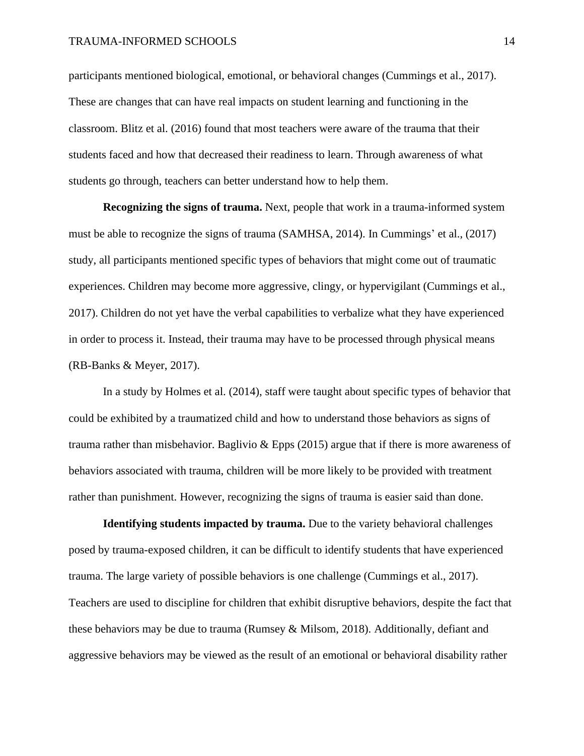#### TRAUMA-INFORMED SCHOOLS 14

participants mentioned biological, emotional, or behavioral changes (Cummings et al., 2017). These are changes that can have real impacts on student learning and functioning in the classroom. Blitz et al. (2016) found that most teachers were aware of the trauma that their students faced and how that decreased their readiness to learn. Through awareness of what students go through, teachers can better understand how to help them.

**Recognizing the signs of trauma.** Next, people that work in a trauma-informed system must be able to recognize the signs of trauma (SAMHSA, 2014). In Cummings' et al., (2017) study, all participants mentioned specific types of behaviors that might come out of traumatic experiences. Children may become more aggressive, clingy, or hypervigilant (Cummings et al., 2017). Children do not yet have the verbal capabilities to verbalize what they have experienced in order to process it. Instead, their trauma may have to be processed through physical means (RB-Banks & Meyer, 2017).

In a study by Holmes et al. (2014), staff were taught about specific types of behavior that could be exhibited by a traumatized child and how to understand those behaviors as signs of trauma rather than misbehavior. Baglivio & Epps (2015) argue that if there is more awareness of behaviors associated with trauma, children will be more likely to be provided with treatment rather than punishment. However, recognizing the signs of trauma is easier said than done.

**Identifying students impacted by trauma.** Due to the variety behavioral challenges posed by trauma-exposed children, it can be difficult to identify students that have experienced trauma. The large variety of possible behaviors is one challenge (Cummings et al., 2017). Teachers are used to discipline for children that exhibit disruptive behaviors, despite the fact that these behaviors may be due to trauma (Rumsey & Milsom, 2018). Additionally, defiant and aggressive behaviors may be viewed as the result of an emotional or behavioral disability rather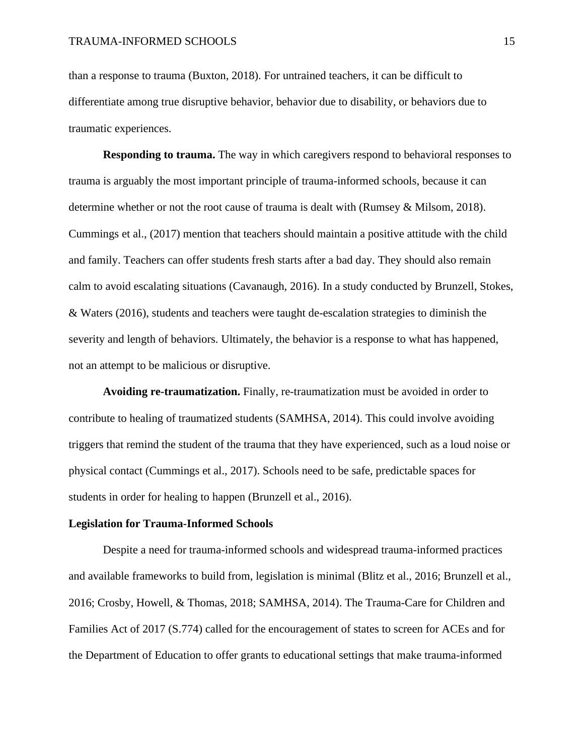than a response to trauma (Buxton, 2018). For untrained teachers, it can be difficult to differentiate among true disruptive behavior, behavior due to disability, or behaviors due to traumatic experiences.

**Responding to trauma.** The way in which caregivers respond to behavioral responses to trauma is arguably the most important principle of trauma-informed schools, because it can determine whether or not the root cause of trauma is dealt with (Rumsey & Milsom, 2018). Cummings et al., (2017) mention that teachers should maintain a positive attitude with the child and family. Teachers can offer students fresh starts after a bad day. They should also remain calm to avoid escalating situations (Cavanaugh, 2016). In a study conducted by Brunzell, Stokes, & Waters (2016), students and teachers were taught de-escalation strategies to diminish the severity and length of behaviors. Ultimately, the behavior is a response to what has happened, not an attempt to be malicious or disruptive.

**Avoiding re-traumatization.** Finally, re-traumatization must be avoided in order to contribute to healing of traumatized students (SAMHSA, 2014). This could involve avoiding triggers that remind the student of the trauma that they have experienced, such as a loud noise or physical contact (Cummings et al., 2017). Schools need to be safe, predictable spaces for students in order for healing to happen (Brunzell et al., 2016).

#### **Legislation for Trauma-Informed Schools**

Despite a need for trauma-informed schools and widespread trauma-informed practices and available frameworks to build from, legislation is minimal (Blitz et al., 2016; Brunzell et al., 2016; Crosby, Howell, & Thomas, 2018; SAMHSA, 2014). The Trauma-Care for Children and Families Act of 2017 (S.774) called for the encouragement of states to screen for ACEs and for the Department of Education to offer grants to educational settings that make trauma-informed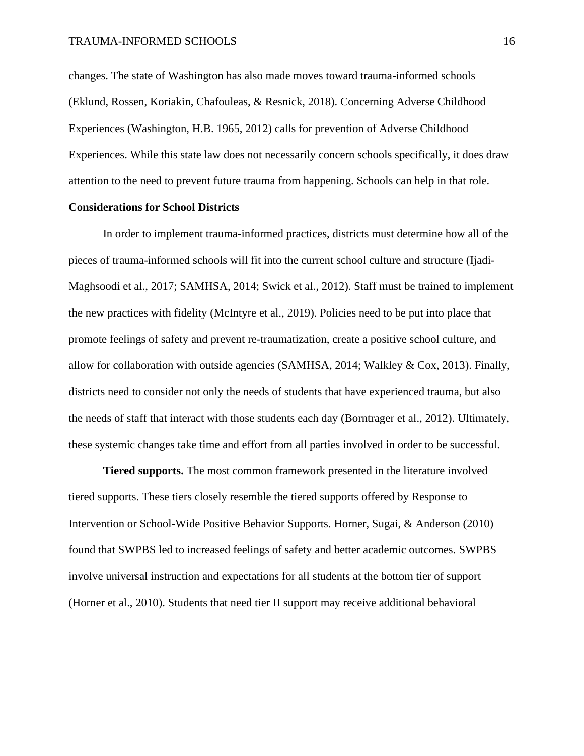changes. The state of Washington has also made moves toward trauma-informed schools (Eklund, Rossen, Koriakin, Chafouleas, & Resnick, 2018). Concerning Adverse Childhood Experiences (Washington, H.B. 1965, 2012) calls for prevention of Adverse Childhood Experiences. While this state law does not necessarily concern schools specifically, it does draw attention to the need to prevent future trauma from happening. Schools can help in that role.

#### **Considerations for School Districts**

In order to implement trauma-informed practices, districts must determine how all of the pieces of trauma-informed schools will fit into the current school culture and structure (Ijadi-Maghsoodi et al., 2017; SAMHSA, 2014; Swick et al., 2012). Staff must be trained to implement the new practices with fidelity (McIntyre et al., 2019). Policies need to be put into place that promote feelings of safety and prevent re-traumatization, create a positive school culture, and allow for collaboration with outside agencies (SAMHSA, 2014; Walkley & Cox, 2013). Finally, districts need to consider not only the needs of students that have experienced trauma, but also the needs of staff that interact with those students each day (Borntrager et al., 2012). Ultimately, these systemic changes take time and effort from all parties involved in order to be successful.

**Tiered supports.** The most common framework presented in the literature involved tiered supports. These tiers closely resemble the tiered supports offered by Response to Intervention or School-Wide Positive Behavior Supports. Horner, Sugai, & Anderson (2010) found that SWPBS led to increased feelings of safety and better academic outcomes. SWPBS involve universal instruction and expectations for all students at the bottom tier of support (Horner et al., 2010). Students that need tier II support may receive additional behavioral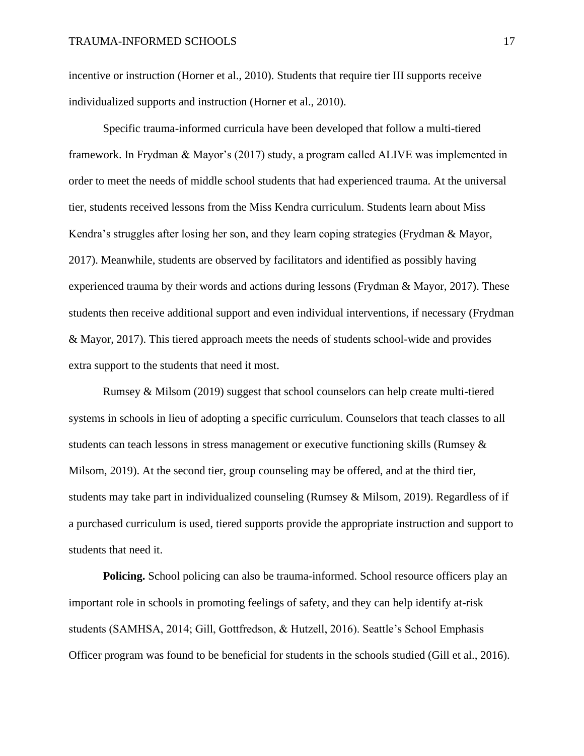incentive or instruction (Horner et al., 2010). Students that require tier III supports receive individualized supports and instruction (Horner et al., 2010).

Specific trauma-informed curricula have been developed that follow a multi-tiered framework. In Frydman & Mayor's (2017) study, a program called ALIVE was implemented in order to meet the needs of middle school students that had experienced trauma. At the universal tier, students received lessons from the Miss Kendra curriculum. Students learn about Miss Kendra's struggles after losing her son, and they learn coping strategies (Frydman & Mayor, 2017). Meanwhile, students are observed by facilitators and identified as possibly having experienced trauma by their words and actions during lessons (Frydman & Mayor, 2017). These students then receive additional support and even individual interventions, if necessary (Frydman & Mayor, 2017). This tiered approach meets the needs of students school-wide and provides extra support to the students that need it most.

Rumsey & Milsom (2019) suggest that school counselors can help create multi-tiered systems in schools in lieu of adopting a specific curriculum. Counselors that teach classes to all students can teach lessons in stress management or executive functioning skills (Rumsey & Milsom, 2019). At the second tier, group counseling may be offered, and at the third tier, students may take part in individualized counseling (Rumsey & Milsom, 2019). Regardless of if a purchased curriculum is used, tiered supports provide the appropriate instruction and support to students that need it.

**Policing.** School policing can also be trauma-informed. School resource officers play an important role in schools in promoting feelings of safety, and they can help identify at-risk students (SAMHSA, 2014; Gill, Gottfredson, & Hutzell, 2016). Seattle's School Emphasis Officer program was found to be beneficial for students in the schools studied (Gill et al., 2016).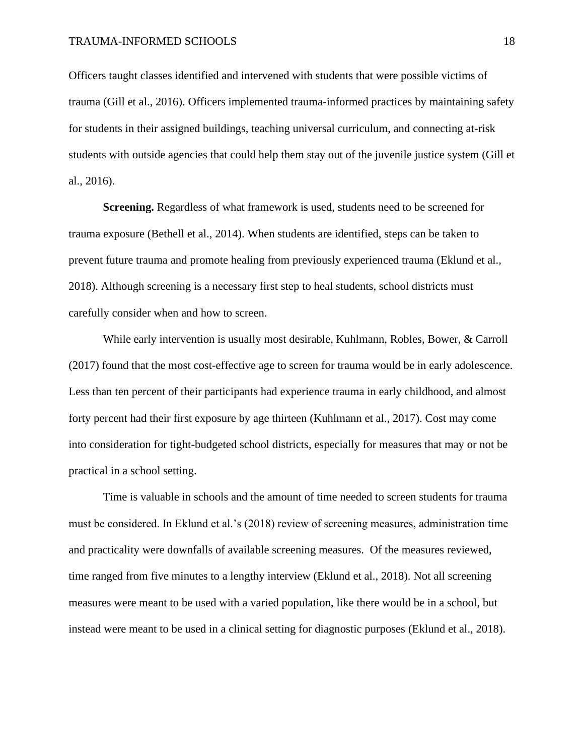Officers taught classes identified and intervened with students that were possible victims of trauma (Gill et al., 2016). Officers implemented trauma-informed practices by maintaining safety for students in their assigned buildings, teaching universal curriculum, and connecting at-risk students with outside agencies that could help them stay out of the juvenile justice system (Gill et al., 2016).

**Screening.** Regardless of what framework is used, students need to be screened for trauma exposure (Bethell et al., 2014). When students are identified, steps can be taken to prevent future trauma and promote healing from previously experienced trauma (Eklund et al., 2018). Although screening is a necessary first step to heal students, school districts must carefully consider when and how to screen.

While early intervention is usually most desirable, Kuhlmann, Robles, Bower, & Carroll (2017) found that the most cost-effective age to screen for trauma would be in early adolescence. Less than ten percent of their participants had experience trauma in early childhood, and almost forty percent had their first exposure by age thirteen (Kuhlmann et al., 2017). Cost may come into consideration for tight-budgeted school districts, especially for measures that may or not be practical in a school setting.

Time is valuable in schools and the amount of time needed to screen students for trauma must be considered. In Eklund et al.'s (2018) review of screening measures, administration time and practicality were downfalls of available screening measures. Of the measures reviewed, time ranged from five minutes to a lengthy interview (Eklund et al., 2018). Not all screening measures were meant to be used with a varied population, like there would be in a school, but instead were meant to be used in a clinical setting for diagnostic purposes (Eklund et al., 2018).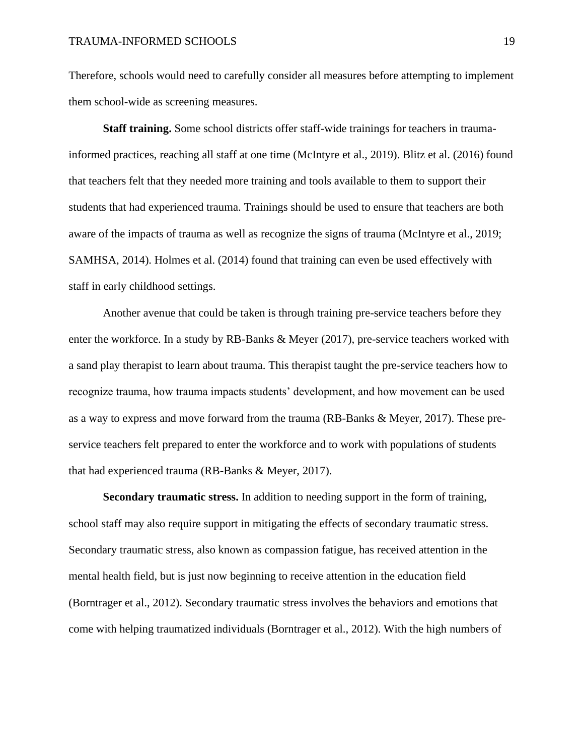Therefore, schools would need to carefully consider all measures before attempting to implement them school-wide as screening measures.

**Staff training.** Some school districts offer staff-wide trainings for teachers in traumainformed practices, reaching all staff at one time (McIntyre et al., 2019). Blitz et al. (2016) found that teachers felt that they needed more training and tools available to them to support their students that had experienced trauma. Trainings should be used to ensure that teachers are both aware of the impacts of trauma as well as recognize the signs of trauma (McIntyre et al., 2019; SAMHSA, 2014). Holmes et al. (2014) found that training can even be used effectively with staff in early childhood settings.

Another avenue that could be taken is through training pre-service teachers before they enter the workforce. In a study by RB-Banks & Meyer (2017), pre-service teachers worked with a sand play therapist to learn about trauma. This therapist taught the pre-service teachers how to recognize trauma, how trauma impacts students' development, and how movement can be used as a way to express and move forward from the trauma (RB-Banks & Meyer, 2017). These preservice teachers felt prepared to enter the workforce and to work with populations of students that had experienced trauma (RB-Banks & Meyer, 2017).

**Secondary traumatic stress.** In addition to needing support in the form of training, school staff may also require support in mitigating the effects of secondary traumatic stress. Secondary traumatic stress, also known as compassion fatigue, has received attention in the mental health field, but is just now beginning to receive attention in the education field (Borntrager et al., 2012). Secondary traumatic stress involves the behaviors and emotions that come with helping traumatized individuals (Borntrager et al., 2012). With the high numbers of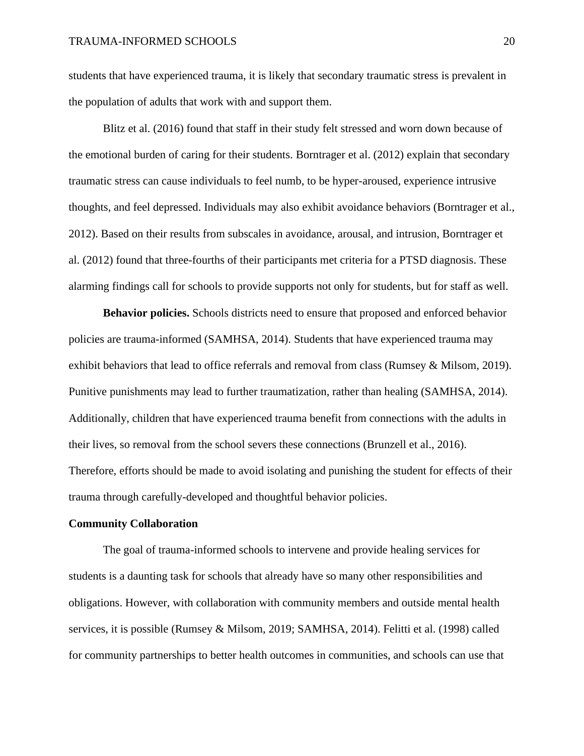students that have experienced trauma, it is likely that secondary traumatic stress is prevalent in the population of adults that work with and support them.

Blitz et al. (2016) found that staff in their study felt stressed and worn down because of the emotional burden of caring for their students. Borntrager et al. (2012) explain that secondary traumatic stress can cause individuals to feel numb, to be hyper-aroused, experience intrusive thoughts, and feel depressed. Individuals may also exhibit avoidance behaviors (Borntrager et al., 2012). Based on their results from subscales in avoidance, arousal, and intrusion, Borntrager et al. (2012) found that three-fourths of their participants met criteria for a PTSD diagnosis. These alarming findings call for schools to provide supports not only for students, but for staff as well.

**Behavior policies.** Schools districts need to ensure that proposed and enforced behavior policies are trauma-informed (SAMHSA, 2014). Students that have experienced trauma may exhibit behaviors that lead to office referrals and removal from class (Rumsey & Milsom, 2019). Punitive punishments may lead to further traumatization, rather than healing (SAMHSA, 2014). Additionally, children that have experienced trauma benefit from connections with the adults in their lives, so removal from the school severs these connections (Brunzell et al., 2016). Therefore, efforts should be made to avoid isolating and punishing the student for effects of their trauma through carefully-developed and thoughtful behavior policies.

#### **Community Collaboration**

The goal of trauma-informed schools to intervene and provide healing services for students is a daunting task for schools that already have so many other responsibilities and obligations. However, with collaboration with community members and outside mental health services, it is possible (Rumsey & Milsom, 2019; SAMHSA, 2014). Felitti et al. (1998) called for community partnerships to better health outcomes in communities, and schools can use that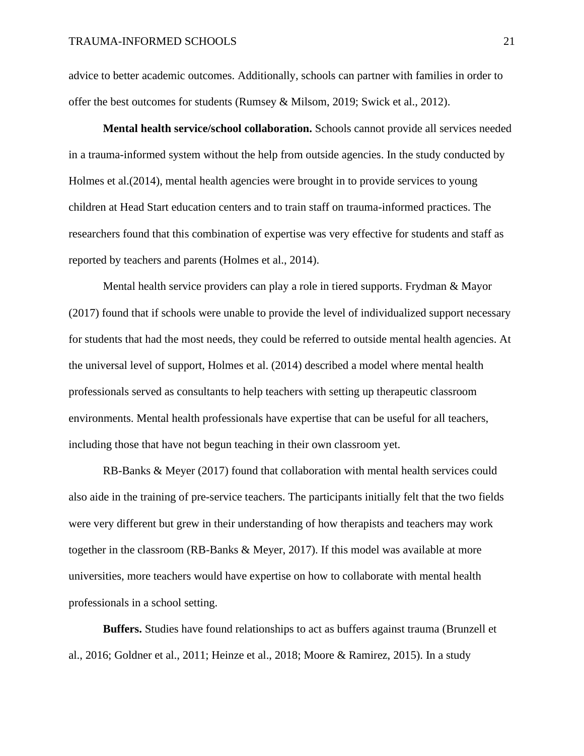advice to better academic outcomes. Additionally, schools can partner with families in order to offer the best outcomes for students (Rumsey & Milsom, 2019; Swick et al., 2012).

**Mental health service/school collaboration.** Schools cannot provide all services needed in a trauma-informed system without the help from outside agencies. In the study conducted by Holmes et al.(2014), mental health agencies were brought in to provide services to young children at Head Start education centers and to train staff on trauma-informed practices. The researchers found that this combination of expertise was very effective for students and staff as reported by teachers and parents (Holmes et al., 2014).

Mental health service providers can play a role in tiered supports. Frydman & Mayor (2017) found that if schools were unable to provide the level of individualized support necessary for students that had the most needs, they could be referred to outside mental health agencies. At the universal level of support, Holmes et al. (2014) described a model where mental health professionals served as consultants to help teachers with setting up therapeutic classroom environments. Mental health professionals have expertise that can be useful for all teachers, including those that have not begun teaching in their own classroom yet.

RB-Banks & Meyer (2017) found that collaboration with mental health services could also aide in the training of pre-service teachers. The participants initially felt that the two fields were very different but grew in their understanding of how therapists and teachers may work together in the classroom (RB-Banks & Meyer, 2017). If this model was available at more universities, more teachers would have expertise on how to collaborate with mental health professionals in a school setting.

**Buffers.** Studies have found relationships to act as buffers against trauma (Brunzell et al., 2016; Goldner et al., 2011; Heinze et al., 2018; Moore & Ramirez, 2015). In a study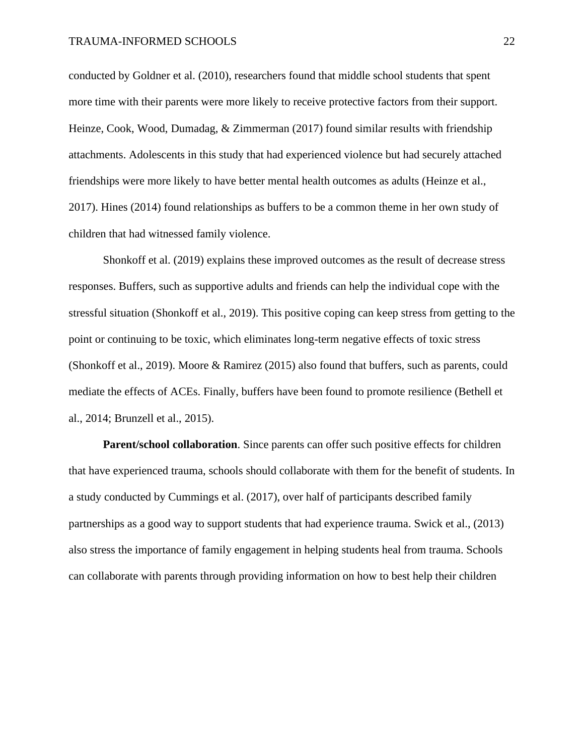conducted by Goldner et al. (2010), researchers found that middle school students that spent more time with their parents were more likely to receive protective factors from their support. Heinze, Cook, Wood, Dumadag, & Zimmerman (2017) found similar results with friendship attachments. Adolescents in this study that had experienced violence but had securely attached friendships were more likely to have better mental health outcomes as adults (Heinze et al., 2017). Hines (2014) found relationships as buffers to be a common theme in her own study of children that had witnessed family violence.

Shonkoff et al. (2019) explains these improved outcomes as the result of decrease stress responses. Buffers, such as supportive adults and friends can help the individual cope with the stressful situation (Shonkoff et al., 2019). This positive coping can keep stress from getting to the point or continuing to be toxic, which eliminates long-term negative effects of toxic stress (Shonkoff et al., 2019). Moore & Ramirez (2015) also found that buffers, such as parents, could mediate the effects of ACEs. Finally, buffers have been found to promote resilience (Bethell et al., 2014; Brunzell et al., 2015).

**Parent/school collaboration**. Since parents can offer such positive effects for children that have experienced trauma, schools should collaborate with them for the benefit of students. In a study conducted by Cummings et al. (2017), over half of participants described family partnerships as a good way to support students that had experience trauma. Swick et al., (2013) also stress the importance of family engagement in helping students heal from trauma. Schools can collaborate with parents through providing information on how to best help their children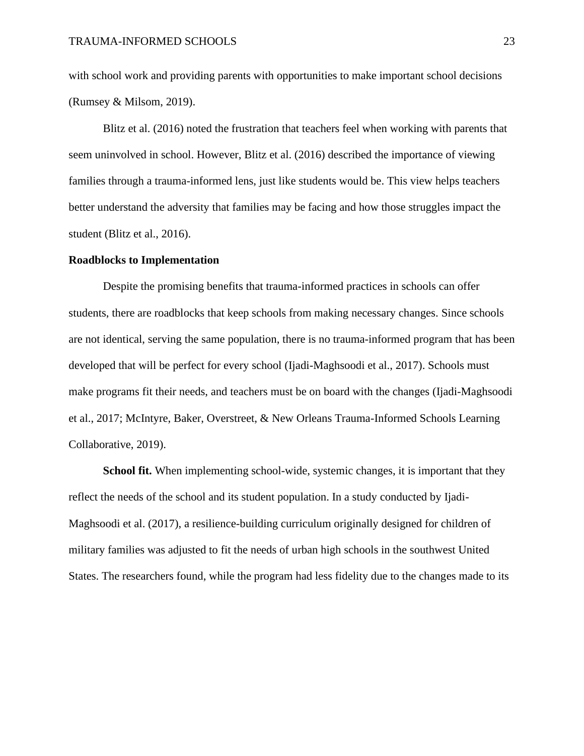with school work and providing parents with opportunities to make important school decisions (Rumsey & Milsom, 2019).

Blitz et al. (2016) noted the frustration that teachers feel when working with parents that seem uninvolved in school. However, Blitz et al. (2016) described the importance of viewing families through a trauma-informed lens, just like students would be. This view helps teachers better understand the adversity that families may be facing and how those struggles impact the student (Blitz et al., 2016).

#### **Roadblocks to Implementation**

Despite the promising benefits that trauma-informed practices in schools can offer students, there are roadblocks that keep schools from making necessary changes. Since schools are not identical, serving the same population, there is no trauma-informed program that has been developed that will be perfect for every school (Ijadi-Maghsoodi et al., 2017). Schools must make programs fit their needs, and teachers must be on board with the changes (Ijadi-Maghsoodi et al., 2017; McIntyre, Baker, Overstreet, & New Orleans Trauma-Informed Schools Learning Collaborative, 2019).

**School fit.** When implementing school-wide, systemic changes, it is important that they reflect the needs of the school and its student population. In a study conducted by Ijadi-Maghsoodi et al. (2017), a resilience-building curriculum originally designed for children of military families was adjusted to fit the needs of urban high schools in the southwest United States. The researchers found, while the program had less fidelity due to the changes made to its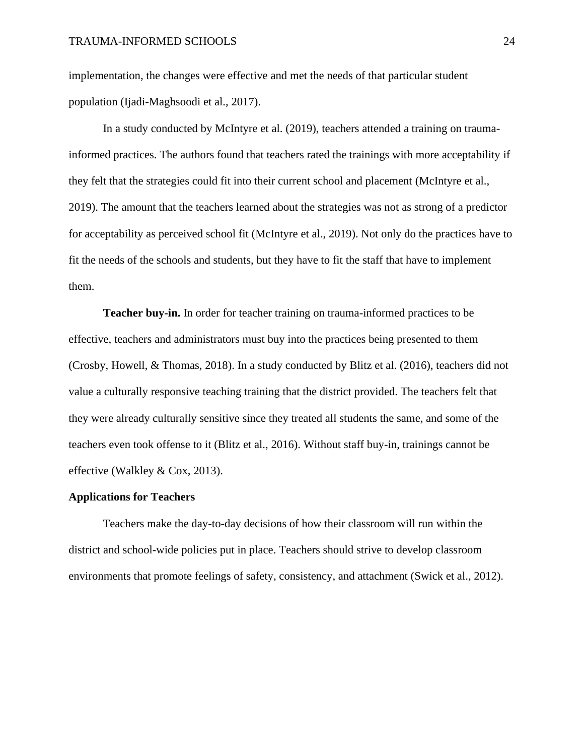implementation, the changes were effective and met the needs of that particular student population (Ijadi-Maghsoodi et al., 2017).

In a study conducted by McIntyre et al. (2019), teachers attended a training on traumainformed practices. The authors found that teachers rated the trainings with more acceptability if they felt that the strategies could fit into their current school and placement (McIntyre et al., 2019). The amount that the teachers learned about the strategies was not as strong of a predictor for acceptability as perceived school fit (McIntyre et al., 2019). Not only do the practices have to fit the needs of the schools and students, but they have to fit the staff that have to implement them.

**Teacher buy-in.** In order for teacher training on trauma-informed practices to be effective, teachers and administrators must buy into the practices being presented to them (Crosby, Howell, & Thomas, 2018). In a study conducted by Blitz et al. (2016), teachers did not value a culturally responsive teaching training that the district provided. The teachers felt that they were already culturally sensitive since they treated all students the same, and some of the teachers even took offense to it (Blitz et al., 2016). Without staff buy-in, trainings cannot be effective (Walkley & Cox, 2013).

#### **Applications for Teachers**

Teachers make the day-to-day decisions of how their classroom will run within the district and school-wide policies put in place. Teachers should strive to develop classroom environments that promote feelings of safety, consistency, and attachment (Swick et al., 2012).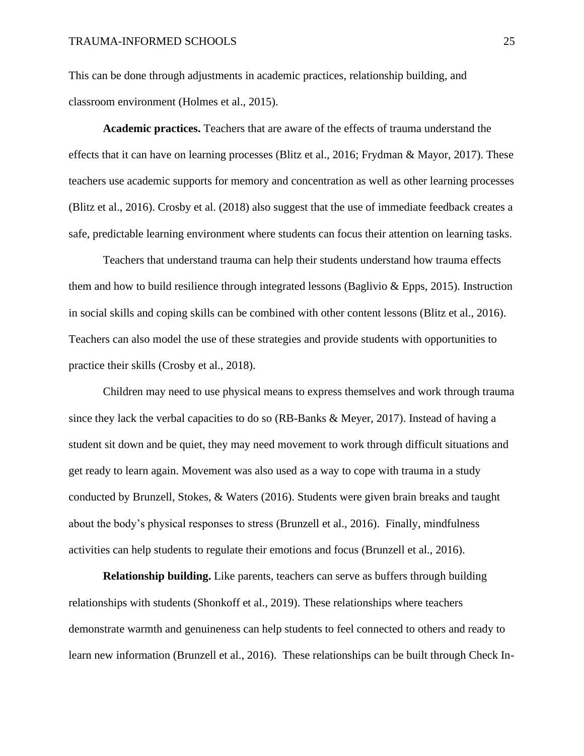This can be done through adjustments in academic practices, relationship building, and classroom environment (Holmes et al., 2015).

**Academic practices.** Teachers that are aware of the effects of trauma understand the effects that it can have on learning processes (Blitz et al., 2016; Frydman & Mayor, 2017). These teachers use academic supports for memory and concentration as well as other learning processes (Blitz et al., 2016). Crosby et al. (2018) also suggest that the use of immediate feedback creates a safe, predictable learning environment where students can focus their attention on learning tasks.

Teachers that understand trauma can help their students understand how trauma effects them and how to build resilience through integrated lessons (Baglivio  $\&$  Epps, 2015). Instruction in social skills and coping skills can be combined with other content lessons (Blitz et al., 2016). Teachers can also model the use of these strategies and provide students with opportunities to practice their skills (Crosby et al., 2018).

Children may need to use physical means to express themselves and work through trauma since they lack the verbal capacities to do so (RB-Banks & Meyer, 2017). Instead of having a student sit down and be quiet, they may need movement to work through difficult situations and get ready to learn again. Movement was also used as a way to cope with trauma in a study conducted by Brunzell, Stokes, & Waters (2016). Students were given brain breaks and taught about the body's physical responses to stress (Brunzell et al., 2016). Finally, mindfulness activities can help students to regulate their emotions and focus (Brunzell et al., 2016).

**Relationship building.** Like parents, teachers can serve as buffers through building relationships with students (Shonkoff et al., 2019). These relationships where teachers demonstrate warmth and genuineness can help students to feel connected to others and ready to learn new information (Brunzell et al., 2016). These relationships can be built through Check In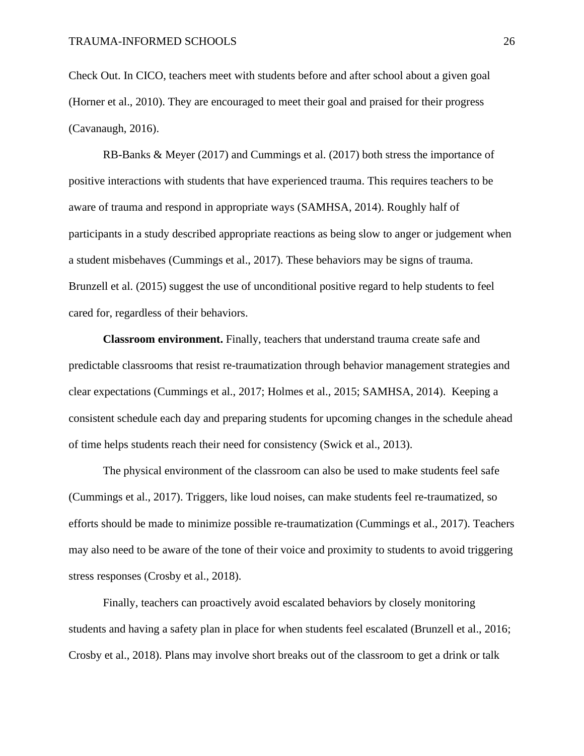Check Out. In CICO, teachers meet with students before and after school about a given goal (Horner et al., 2010). They are encouraged to meet their goal and praised for their progress (Cavanaugh, 2016).

RB-Banks & Meyer (2017) and Cummings et al. (2017) both stress the importance of positive interactions with students that have experienced trauma. This requires teachers to be aware of trauma and respond in appropriate ways (SAMHSA, 2014). Roughly half of participants in a study described appropriate reactions as being slow to anger or judgement when a student misbehaves (Cummings et al., 2017). These behaviors may be signs of trauma. Brunzell et al. (2015) suggest the use of unconditional positive regard to help students to feel cared for, regardless of their behaviors.

**Classroom environment.** Finally, teachers that understand trauma create safe and predictable classrooms that resist re-traumatization through behavior management strategies and clear expectations (Cummings et al., 2017; Holmes et al., 2015; SAMHSA, 2014). Keeping a consistent schedule each day and preparing students for upcoming changes in the schedule ahead of time helps students reach their need for consistency (Swick et al., 2013).

The physical environment of the classroom can also be used to make students feel safe (Cummings et al., 2017). Triggers, like loud noises, can make students feel re-traumatized, so efforts should be made to minimize possible re-traumatization (Cummings et al., 2017). Teachers may also need to be aware of the tone of their voice and proximity to students to avoid triggering stress responses (Crosby et al., 2018).

Finally, teachers can proactively avoid escalated behaviors by closely monitoring students and having a safety plan in place for when students feel escalated (Brunzell et al., 2016; Crosby et al., 2018). Plans may involve short breaks out of the classroom to get a drink or talk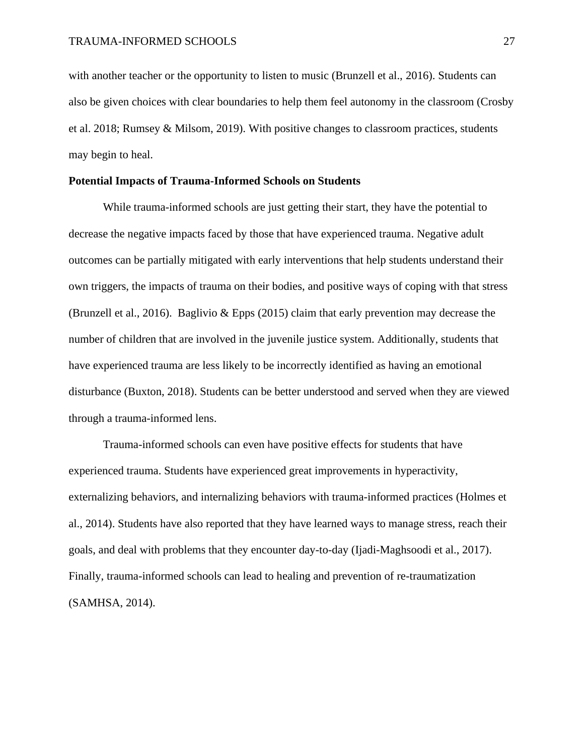with another teacher or the opportunity to listen to music (Brunzell et al., 2016). Students can also be given choices with clear boundaries to help them feel autonomy in the classroom (Crosby et al. 2018; Rumsey & Milsom, 2019). With positive changes to classroom practices, students may begin to heal.

#### **Potential Impacts of Trauma-Informed Schools on Students**

While trauma-informed schools are just getting their start, they have the potential to decrease the negative impacts faced by those that have experienced trauma. Negative adult outcomes can be partially mitigated with early interventions that help students understand their own triggers, the impacts of trauma on their bodies, and positive ways of coping with that stress (Brunzell et al., 2016). Baglivio & Epps (2015) claim that early prevention may decrease the number of children that are involved in the juvenile justice system. Additionally, students that have experienced trauma are less likely to be incorrectly identified as having an emotional disturbance (Buxton, 2018). Students can be better understood and served when they are viewed through a trauma-informed lens.

Trauma-informed schools can even have positive effects for students that have experienced trauma. Students have experienced great improvements in hyperactivity, externalizing behaviors, and internalizing behaviors with trauma-informed practices (Holmes et al., 2014). Students have also reported that they have learned ways to manage stress, reach their goals, and deal with problems that they encounter day-to-day (Ijadi-Maghsoodi et al., 2017). Finally, trauma-informed schools can lead to healing and prevention of re-traumatization (SAMHSA, 2014).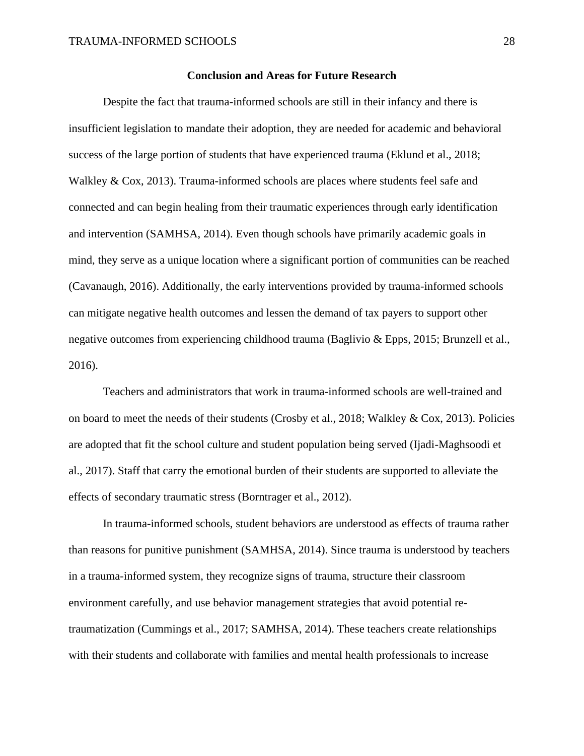#### **Conclusion and Areas for Future Research**

Despite the fact that trauma-informed schools are still in their infancy and there is insufficient legislation to mandate their adoption, they are needed for academic and behavioral success of the large portion of students that have experienced trauma (Eklund et al., 2018; Walkley & Cox, 2013). Trauma-informed schools are places where students feel safe and connected and can begin healing from their traumatic experiences through early identification and intervention (SAMHSA, 2014). Even though schools have primarily academic goals in mind, they serve as a unique location where a significant portion of communities can be reached (Cavanaugh, 2016). Additionally, the early interventions provided by trauma-informed schools can mitigate negative health outcomes and lessen the demand of tax payers to support other negative outcomes from experiencing childhood trauma (Baglivio & Epps, 2015; Brunzell et al., 2016).

Teachers and administrators that work in trauma-informed schools are well-trained and on board to meet the needs of their students (Crosby et al., 2018; Walkley & Cox, 2013). Policies are adopted that fit the school culture and student population being served (Ijadi-Maghsoodi et al., 2017). Staff that carry the emotional burden of their students are supported to alleviate the effects of secondary traumatic stress (Borntrager et al., 2012).

In trauma-informed schools, student behaviors are understood as effects of trauma rather than reasons for punitive punishment (SAMHSA, 2014). Since trauma is understood by teachers in a trauma-informed system, they recognize signs of trauma, structure their classroom environment carefully, and use behavior management strategies that avoid potential retraumatization (Cummings et al., 2017; SAMHSA, 2014). These teachers create relationships with their students and collaborate with families and mental health professionals to increase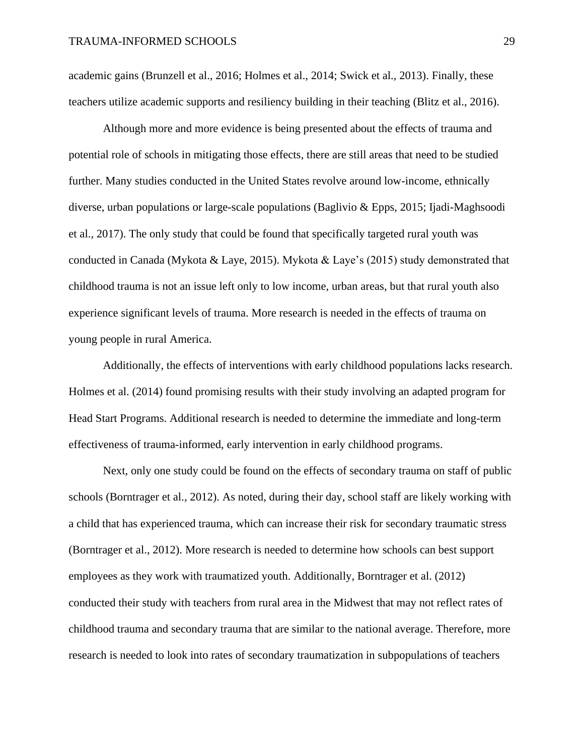academic gains (Brunzell et al., 2016; Holmes et al., 2014; Swick et al., 2013). Finally, these teachers utilize academic supports and resiliency building in their teaching (Blitz et al., 2016).

Although more and more evidence is being presented about the effects of trauma and potential role of schools in mitigating those effects, there are still areas that need to be studied further. Many studies conducted in the United States revolve around low-income, ethnically diverse, urban populations or large-scale populations (Baglivio & Epps, 2015; Ijadi-Maghsoodi et al., 2017). The only study that could be found that specifically targeted rural youth was conducted in Canada (Mykota & Laye, 2015). Mykota & Laye's (2015) study demonstrated that childhood trauma is not an issue left only to low income, urban areas, but that rural youth also experience significant levels of trauma. More research is needed in the effects of trauma on young people in rural America.

Additionally, the effects of interventions with early childhood populations lacks research. Holmes et al. (2014) found promising results with their study involving an adapted program for Head Start Programs. Additional research is needed to determine the immediate and long-term effectiveness of trauma-informed, early intervention in early childhood programs.

Next, only one study could be found on the effects of secondary trauma on staff of public schools (Borntrager et al., 2012). As noted, during their day, school staff are likely working with a child that has experienced trauma, which can increase their risk for secondary traumatic stress (Borntrager et al., 2012). More research is needed to determine how schools can best support employees as they work with traumatized youth. Additionally, Borntrager et al. (2012) conducted their study with teachers from rural area in the Midwest that may not reflect rates of childhood trauma and secondary trauma that are similar to the national average. Therefore, more research is needed to look into rates of secondary traumatization in subpopulations of teachers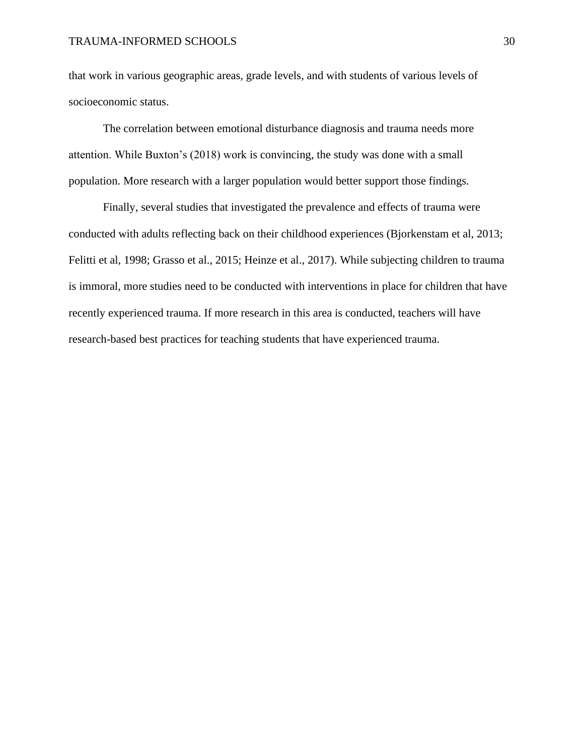#### TRAUMA-INFORMED SCHOOLS 30

that work in various geographic areas, grade levels, and with students of various levels of socioeconomic status.

The correlation between emotional disturbance diagnosis and trauma needs more attention. While Buxton's (2018) work is convincing, the study was done with a small population. More research with a larger population would better support those findings.

Finally, several studies that investigated the prevalence and effects of trauma were conducted with adults reflecting back on their childhood experiences (Bjorkenstam et al, 2013; Felitti et al, 1998; Grasso et al., 2015; Heinze et al., 2017). While subjecting children to trauma is immoral, more studies need to be conducted with interventions in place for children that have recently experienced trauma. If more research in this area is conducted, teachers will have research-based best practices for teaching students that have experienced trauma.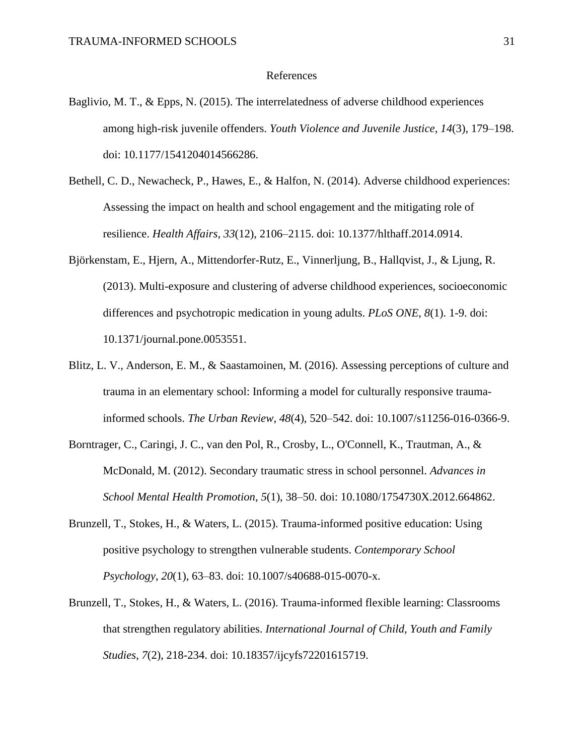#### References

- Baglivio, M. T., & Epps, N. (2015). The interrelatedness of adverse childhood experiences among high-risk juvenile offenders. *Youth Violence and Juvenile Justice*, *14*(3), 179–198. doi: 10.1177/1541204014566286.
- Bethell, C. D., Newacheck, P., Hawes, E., & Halfon, N. (2014). Adverse childhood experiences: Assessing the impact on health and school engagement and the mitigating role of resilience. *Health Affairs*, *33*(12), 2106–2115. doi: 10.1377/hlthaff.2014.0914.
- Björkenstam, E., Hjern, A., Mittendorfer-Rutz, E., Vinnerljung, B., Hallqvist, J., & Ljung, R. (2013). Multi-exposure and clustering of adverse childhood experiences, socioeconomic differences and psychotropic medication in young adults. *PLoS ONE*, *8*(1). 1-9. doi: 10.1371/journal.pone.0053551.
- Blitz, L. V., Anderson, E. M., & Saastamoinen, M. (2016). Assessing perceptions of culture and trauma in an elementary school: Informing a model for culturally responsive traumainformed schools. *The Urban Review*, *48*(4), 520–542. doi: 10.1007/s11256-016-0366-9.
- Borntrager, C., Caringi, J. C., van den Pol, R., Crosby, L., O'Connell, K., Trautman, A., & McDonald, M. (2012). Secondary traumatic stress in school personnel. *Advances in School Mental Health Promotion*, *5*(1), 38–50. doi: 10.1080/1754730X.2012.664862.
- Brunzell, T., Stokes, H., & Waters, L. (2015). Trauma-informed positive education: Using positive psychology to strengthen vulnerable students. *Contemporary School Psychology*, *20*(1), 63–83. doi: 10.1007/s40688-015-0070-x.
- Brunzell, T., Stokes, H., & Waters, L. (2016). Trauma-informed flexible learning: Classrooms that strengthen regulatory abilities. *International Journal of Child, Youth and Family Studies*, *7*(2), 218-234. doi: 10.18357/ijcyfs72201615719.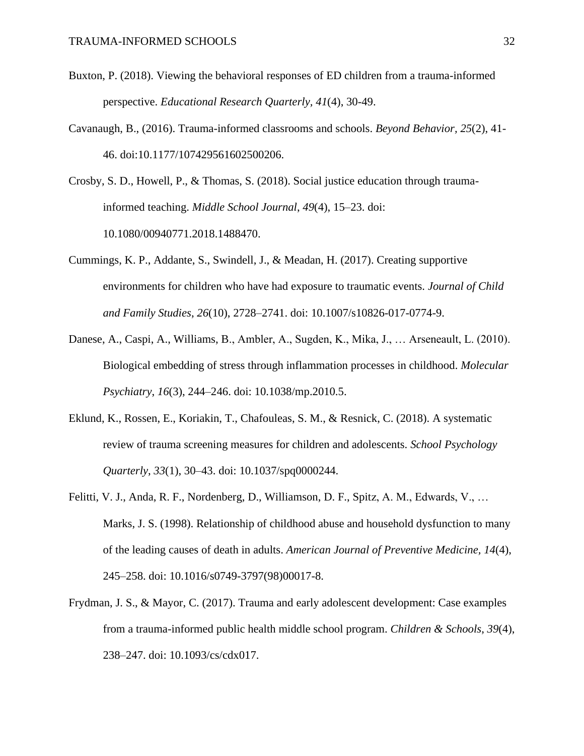- Buxton, P. (2018). Viewing the behavioral responses of ED children from a trauma-informed perspective. *Educational Research Quarterly, 41*(4), 30-49.
- Cavanaugh, B., (2016). Trauma-informed classrooms and schools. *Beyond Behavior, 25*(2), 41- 46. doi:10.1177/107429561602500206.
- Crosby, S. D., Howell, P., & Thomas, S. (2018). Social justice education through traumainformed teaching. *Middle School Journal*, *49*(4), 15–23. doi: 10.1080/00940771.2018.1488470.
- Cummings, K. P., Addante, S., Swindell, J., & Meadan, H. (2017). Creating supportive environments for children who have had exposure to traumatic events. *Journal of Child and Family Studies*, *26*(10), 2728–2741. doi: 10.1007/s10826-017-0774-9.
- Danese, A., Caspi, A., Williams, B., Ambler, A., Sugden, K., Mika, J., … Arseneault, L. (2010). Biological embedding of stress through inflammation processes in childhood. *Molecular Psychiatry*, *16*(3), 244–246. doi: 10.1038/mp.2010.5.
- Eklund, K., Rossen, E., Koriakin, T., Chafouleas, S. M., & Resnick, C. (2018). A systematic review of trauma screening measures for children and adolescents. *School Psychology Quarterly*, *33*(1), 30–43. doi: 10.1037/spq0000244.
- Felitti, V. J., Anda, R. F., Nordenberg, D., Williamson, D. F., Spitz, A. M., Edwards, V., … Marks, J. S. (1998). Relationship of childhood abuse and household dysfunction to many of the leading causes of death in adults. *American Journal of Preventive Medicine, 14*(4), 245–258. doi: 10.1016/s0749-3797(98)00017-8.
- Frydman, J. S., & Mayor, C. (2017). Trauma and early adolescent development: Case examples from a trauma-informed public health middle school program. *Children & Schools*, *39*(4), 238–247. doi: 10.1093/cs/cdx017.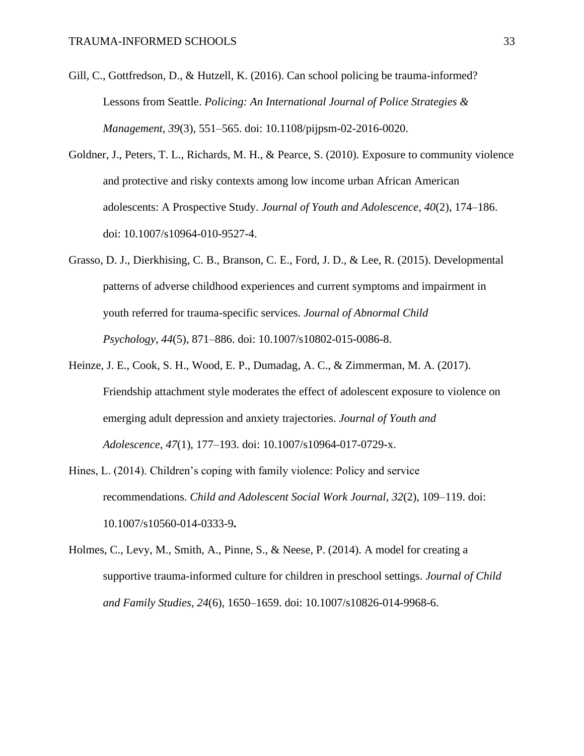- Gill, C., Gottfredson, D., & Hutzell, K. (2016). Can school policing be trauma-informed? Lessons from Seattle. *Policing: An International Journal of Police Strategies & Management*, *39*(3), 551–565. doi: 10.1108/pijpsm-02-2016-0020.
- Goldner, J., Peters, T. L., Richards, M. H., & Pearce, S. (2010). Exposure to community violence and protective and risky contexts among low income urban African American adolescents: A Prospective Study. *Journal of Youth and Adolescence*, *40*(2), 174–186. doi: 10.1007/s10964-010-9527-4.
- Grasso, D. J., Dierkhising, C. B., Branson, C. E., Ford, J. D., & Lee, R. (2015). Developmental patterns of adverse childhood experiences and current symptoms and impairment in youth referred for trauma-specific services. *Journal of Abnormal Child Psychology*, *44*(5), 871–886. doi: 10.1007/s10802-015-0086-8.
- Heinze, J. E., Cook, S. H., Wood, E. P., Dumadag, A. C., & Zimmerman, M. A. (2017). Friendship attachment style moderates the effect of adolescent exposure to violence on emerging adult depression and anxiety trajectories. *Journal of Youth and Adolescence*, *47*(1), 177–193. doi: 10.1007/s10964-017-0729-x.
- Hines, L. (2014). Children's coping with family violence: Policy and service recommendations. *Child and Adolescent Social Work Journal*, *32*(2), 109–119. doi: 10.1007/s10560-014-0333-9**.**
- Holmes, C., Levy, M., Smith, A., Pinne, S., & Neese, P. (2014). A model for creating a supportive trauma-informed culture for children in preschool settings. *Journal of Child and Family Studies*, *24*(6), 1650–1659. doi: 10.1007/s10826-014-9968-6.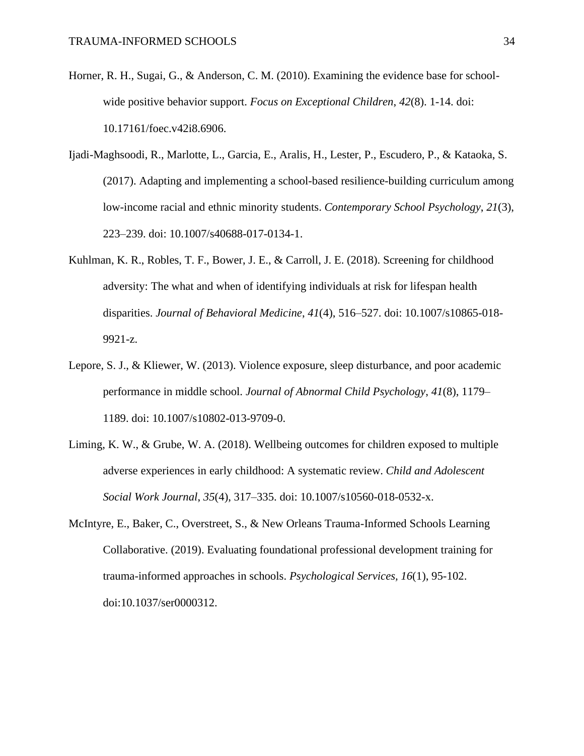- Horner, R. H., Sugai, G., & Anderson, C. M. (2010). Examining the evidence base for schoolwide positive behavior support. *Focus on Exceptional Children*, *42*(8). 1-14. doi: 10.17161/foec.v42i8.6906.
- Ijadi-Maghsoodi, R., Marlotte, L., Garcia, E., Aralis, H., Lester, P., Escudero, P., & Kataoka, S. (2017). Adapting and implementing a school-based resilience-building curriculum among low-income racial and ethnic minority students. *Contemporary School Psychology*, *21*(3), 223–239. doi: 10.1007/s40688-017-0134-1.
- Kuhlman, K. R., Robles, T. F., Bower, J. E., & Carroll, J. E. (2018). Screening for childhood adversity: The what and when of identifying individuals at risk for lifespan health disparities. *Journal of Behavioral Medicine*, *41*(4), 516–527. doi: 10.1007/s10865-018- 9921-z.
- Lepore, S. J., & Kliewer, W. (2013). Violence exposure, sleep disturbance, and poor academic performance in middle school. *Journal of Abnormal Child Psychology*, *41*(8), 1179– 1189. doi: 10.1007/s10802-013-9709-0.
- Liming, K. W., & Grube, W. A. (2018). Wellbeing outcomes for children exposed to multiple adverse experiences in early childhood: A systematic review. *Child and Adolescent Social Work Journal*, *35*(4), 317–335. doi: 10.1007/s10560-018-0532-x.
- McIntyre, E., Baker, C., Overstreet, S., & New Orleans Trauma-Informed Schools Learning Collaborative. (2019). Evaluating foundational professional development training for trauma-informed approaches in schools. *Psychological Services, 16*(1), 95-102. doi:10.1037/ser0000312.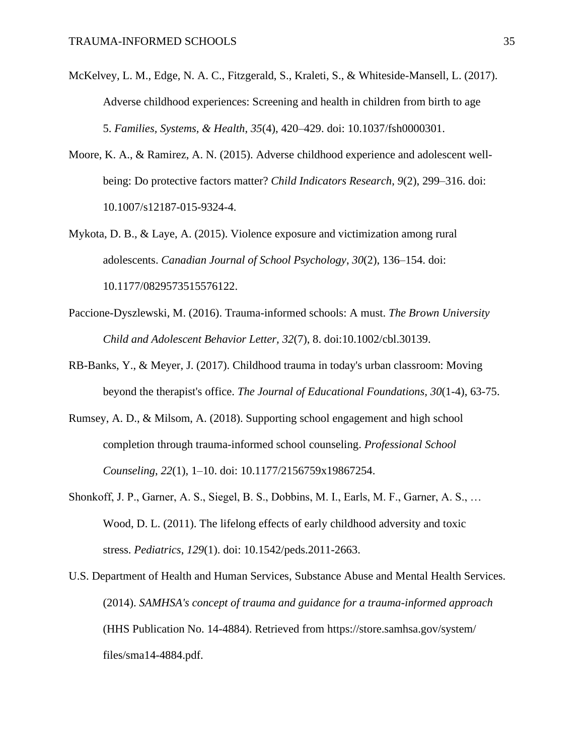- McKelvey, L. M., Edge, N. A. C., Fitzgerald, S., Kraleti, S., & Whiteside-Mansell, L. (2017). Adverse childhood experiences: Screening and health in children from birth to age 5. *Families, Systems, & Health*, *35*(4), 420–429. doi: 10.1037/fsh0000301.
- Moore, K. A., & Ramirez, A. N. (2015). Adverse childhood experience and adolescent wellbeing: Do protective factors matter? *Child Indicators Research*, *9*(2), 299–316. doi: 10.1007/s12187-015-9324-4.
- Mykota, D. B., & Laye, A. (2015). Violence exposure and victimization among rural adolescents. *Canadian Journal of School Psychology*, *30*(2), 136–154. doi: 10.1177/0829573515576122.
- Paccione-Dyszlewski, M. (2016). Trauma-informed schools: A must. *The Brown University Child and Adolescent Behavior Letter, 32*(7), 8. doi:10.1002/cbl.30139.
- RB-Banks, Y., & Meyer, J. (2017). Childhood trauma in today's urban classroom: Moving beyond the therapist's office. *The Journal of Educational Foundations, 30*(1-4), 63-75.
- Rumsey, A. D., & Milsom, A. (2018). Supporting school engagement and high school completion through trauma-informed school counseling. *Professional School Counseling*, *22*(1), 1–10. doi: 10.1177/2156759x19867254.
- Shonkoff, J. P., Garner, A. S., Siegel, B. S., Dobbins, M. I., Earls, M. F., Garner, A. S., … Wood, D. L. (2011). The lifelong effects of early childhood adversity and toxic stress. *Pediatrics*, *129*(1). doi: 10.1542/peds.2011-2663.
- U.S. Department of Health and Human Services, Substance Abuse and Mental Health Services. (2014). *SAMHSA's concept of trauma and guidance for a trauma-informed approach* (HHS Publication No. 14-4884). Retrieved from https://store.samhsa.gov/system/ files/sma14-4884.pdf.